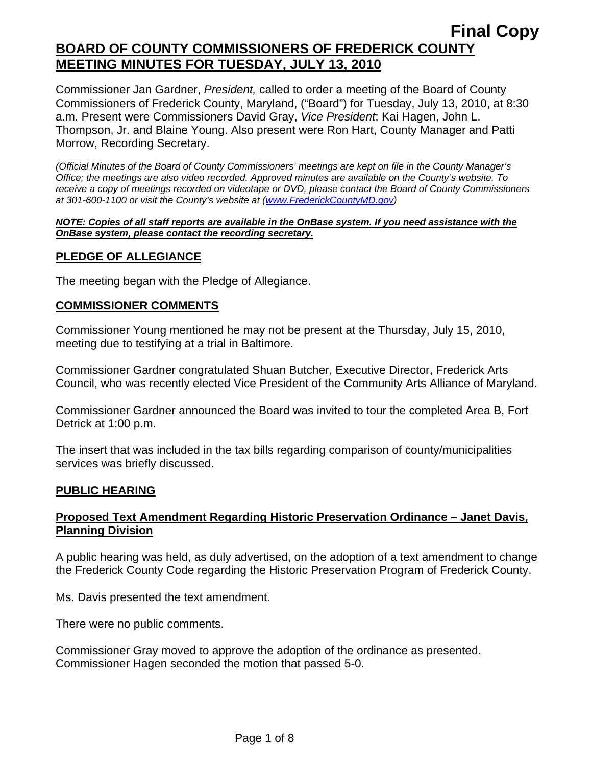Commissioner Jan Gardner, *President,* called to order a meeting of the Board of County Commissioners of Frederick County, Maryland, ("Board") for Tuesday, July 13, 2010, at 8:30 a.m. Present were Commissioners David Gray, *Vice President*; Kai Hagen, John L. Thompson, Jr. and Blaine Young. Also present were Ron Hart, County Manager and Patti Morrow, Recording Secretary.

*(Official Minutes of the Board of County Commissioners' meetings are kept on file in the County Manager's Office; the meetings are also video recorded. Approved minutes are available on the County's website. To receive a copy of meetings recorded on videotape or DVD, please contact the Board of County Commissioners at 301-600-1100 or visit the County's website at ([www.FrederickCountyMD.gov](http://www.frederickcountymd.gov/))* 

#### *NOTE: Copies of all staff reports are available in the OnBase system. If you need assistance with the OnBase system, please contact the recording secretary.*

## **PLEDGE OF ALLEGIANCE**

The meeting began with the Pledge of Allegiance.

#### **COMMISSIONER COMMENTS**

Commissioner Young mentioned he may not be present at the Thursday, July 15, 2010, meeting due to testifying at a trial in Baltimore.

Commissioner Gardner congratulated Shuan Butcher, Executive Director, Frederick Arts Council, who was recently elected Vice President of the Community Arts Alliance of Maryland.

Commissioner Gardner announced the Board was invited to tour the completed Area B, Fort Detrick at 1:00 p.m.

The insert that was included in the tax bills regarding comparison of county/municipalities services was briefly discussed.

## **PUBLIC HEARING**

## **Proposed Text Amendment Regarding Historic Preservation Ordinance – Janet Davis, Planning Division**

A public hearing was held, as duly advertised, on the adoption of a text amendment to change the Frederick County Code regarding the Historic Preservation Program of Frederick County.

Ms. Davis presented the text amendment.

There were no public comments.

Commissioner Gray moved to approve the adoption of the ordinance as presented. Commissioner Hagen seconded the motion that passed 5-0.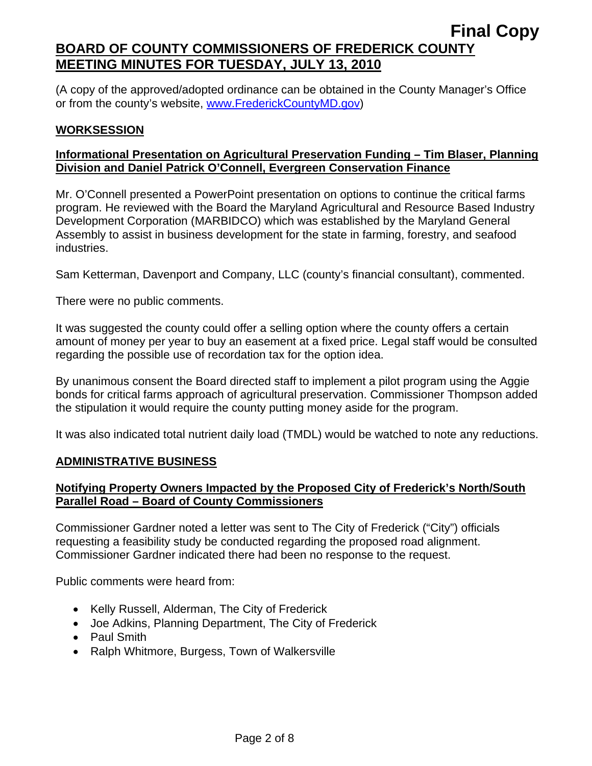(A copy of the approved/adopted ordinance can be obtained in the County Manager's Office or from the county's website, [www.FrederickCountyMD.gov](http://www.frederickcountymd.gov/))

## **WORKSESSION**

# **Informational Presentation on Agricultural Preservation Funding – Tim Blaser, Planning Division and Daniel Patrick O'Connell, Evergreen Conservation Finance**

Mr. O'Connell presented a PowerPoint presentation on options to continue the critical farms program. He reviewed with the Board the Maryland Agricultural and Resource Based Industry Development Corporation (MARBIDCO) which was established by the Maryland General Assembly to assist in business development for the state in farming, forestry, and seafood industries.

Sam Ketterman, Davenport and Company, LLC (county's financial consultant), commented.

There were no public comments.

It was suggested the county could offer a selling option where the county offers a certain amount of money per year to buy an easement at a fixed price. Legal staff would be consulted regarding the possible use of recordation tax for the option idea.

By unanimous consent the Board directed staff to implement a pilot program using the Aggie bonds for critical farms approach of agricultural preservation. Commissioner Thompson added the stipulation it would require the county putting money aside for the program.

It was also indicated total nutrient daily load (TMDL) would be watched to note any reductions.

## **ADMINISTRATIVE BUSINESS**

# **Notifying Property Owners Impacted by the Proposed City of Frederick's North/South Parallel Road – Board of County Commissioners**

Commissioner Gardner noted a letter was sent to The City of Frederick ("City") officials requesting a feasibility study be conducted regarding the proposed road alignment. Commissioner Gardner indicated there had been no response to the request.

Public comments were heard from:

- Kelly Russell, Alderman, The City of Frederick
- Joe Adkins, Planning Department, The City of Frederick
- Paul Smith
- Ralph Whitmore, Burgess, Town of Walkersville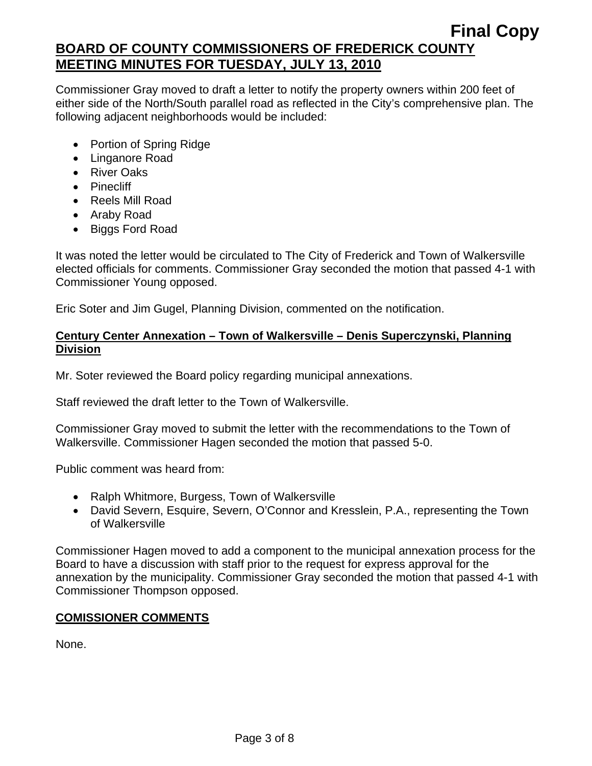Commissioner Gray moved to draft a letter to notify the property owners within 200 feet of either side of the North/South parallel road as reflected in the City's comprehensive plan. The following adjacent neighborhoods would be included:

- Portion of Spring Ridge
- Linganore Road
- River Oaks
- Pinecliff
- Reels Mill Road
- Araby Road
- Biggs Ford Road

It was noted the letter would be circulated to The City of Frederick and Town of Walkersville elected officials for comments. Commissioner Gray seconded the motion that passed 4-1 with Commissioner Young opposed.

Eric Soter and Jim Gugel, Planning Division, commented on the notification.

# **Century Center Annexation – Town of Walkersville – Denis Superczynski, Planning Division**

Mr. Soter reviewed the Board policy regarding municipal annexations.

Staff reviewed the draft letter to the Town of Walkersville.

Commissioner Gray moved to submit the letter with the recommendations to the Town of Walkersville. Commissioner Hagen seconded the motion that passed 5-0.

Public comment was heard from:

- Ralph Whitmore, Burgess, Town of Walkersville
- David Severn, Esquire, Severn, O'Connor and Kresslein, P.A., representing the Town of Walkersville

Commissioner Hagen moved to add a component to the municipal annexation process for the Board to have a discussion with staff prior to the request for express approval for the annexation by the municipality. Commissioner Gray seconded the motion that passed 4-1 with Commissioner Thompson opposed.

# **COMISSIONER COMMENTS**

None.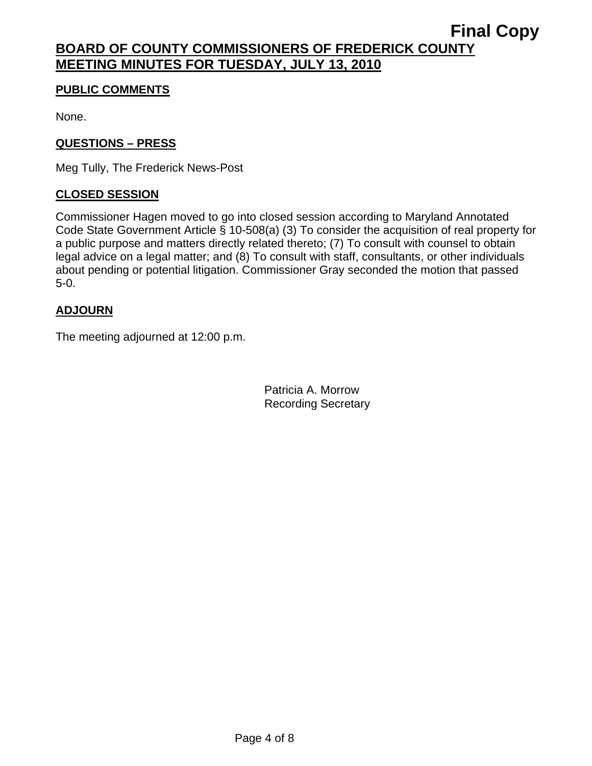## **PUBLIC COMMENTS**

None.

## **QUESTIONS – PRESS**

Meg Tully, The Frederick News-Post

## **CLOSED SESSION**

Commissioner Hagen moved to go into closed session according to Maryland Annotated Code State Government Article § 10-508(a) (3) To consider the acquisition of real property for a public purpose and matters directly related thereto; (7) To consult with counsel to obtain legal advice on a legal matter; and (8) To consult with staff, consultants, or other individuals about pending or potential litigation. Commissioner Gray seconded the motion that passed 5-0.

## **ADJOURN**

The meeting adjourned at 12:00 p.m.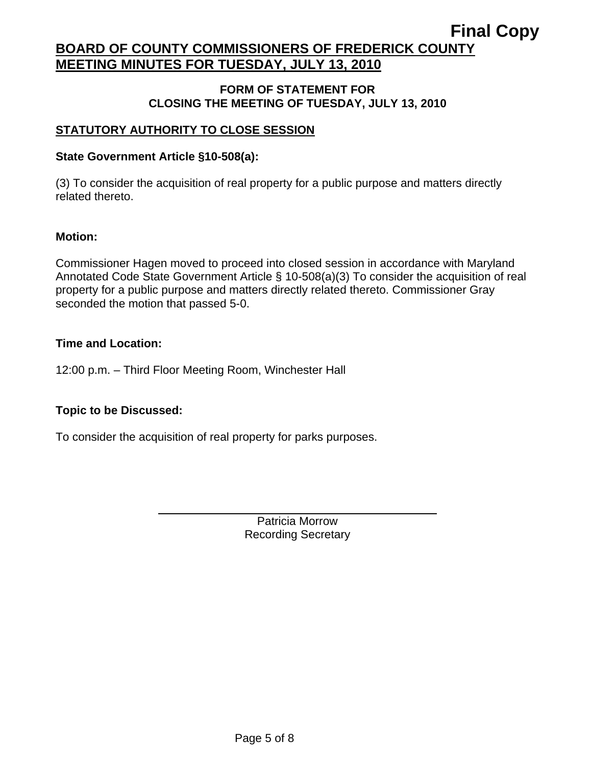#### **FORM OF STATEMENT FOR CLOSING THE MEETING OF TUESDAY, JULY 13, 2010**

## **STATUTORY AUTHORITY TO CLOSE SESSION**

## **State Government Article §10-508(a):**

(3) To consider the acquisition of real property for a public purpose and matters directly related thereto.

## **Motion:**

Commissioner Hagen moved to proceed into closed session in accordance with Maryland Annotated Code State Government Article § 10-508(a)(3) To consider the acquisition of real property for a public purpose and matters directly related thereto. Commissioner Gray seconded the motion that passed 5-0.

## **Time and Location:**

12:00 p.m. – Third Floor Meeting Room, Winchester Hall

# **Topic to be Discussed:**

 $\overline{a}$ 

To consider the acquisition of real property for parks purposes.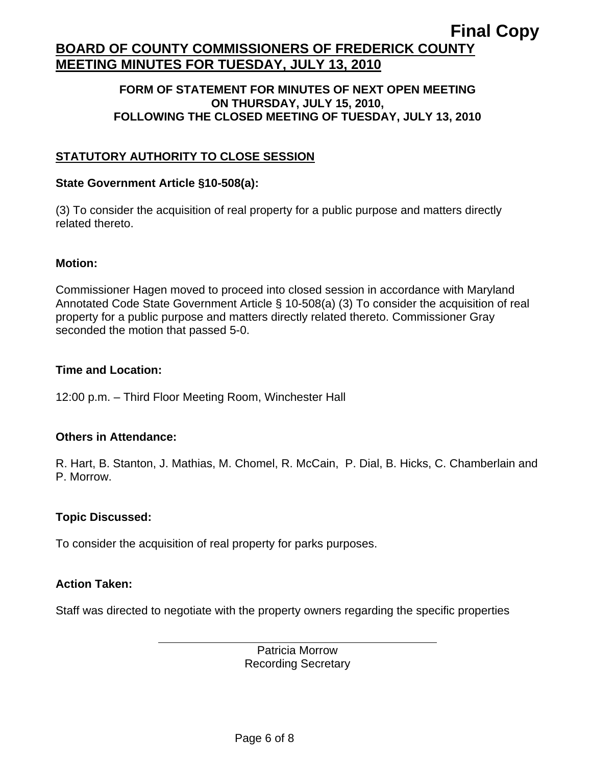#### **FORM OF STATEMENT FOR MINUTES OF NEXT OPEN MEETING ON THURSDAY, JULY 15, 2010, FOLLOWING THE CLOSED MEETING OF TUESDAY, JULY 13, 2010**

## **STATUTORY AUTHORITY TO CLOSE SESSION**

#### **State Government Article §10-508(a):**

(3) To consider the acquisition of real property for a public purpose and matters directly related thereto.

#### **Motion:**

Commissioner Hagen moved to proceed into closed session in accordance with Maryland Annotated Code State Government Article § 10-508(a) (3) To consider the acquisition of real property for a public purpose and matters directly related thereto. Commissioner Gray seconded the motion that passed 5-0.

#### **Time and Location:**

12:00 p.m. – Third Floor Meeting Room, Winchester Hall

## **Others in Attendance:**

R. Hart, B. Stanton, J. Mathias, M. Chomel, R. McCain, P. Dial, B. Hicks, C. Chamberlain and P. Morrow.

## **Topic Discussed:**

To consider the acquisition of real property for parks purposes.

#### **Action Taken:**

 $\overline{a}$ 

Staff was directed to negotiate with the property owners regarding the specific properties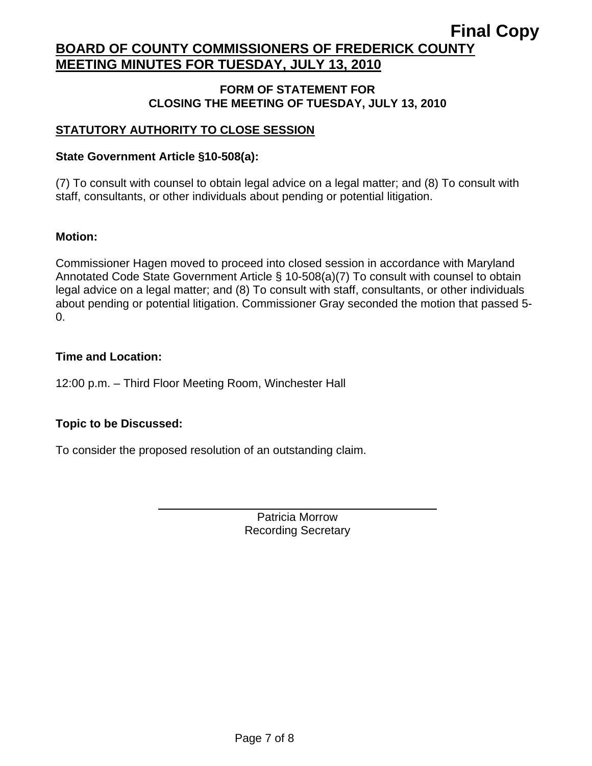#### **FORM OF STATEMENT FOR CLOSING THE MEETING OF TUESDAY, JULY 13, 2010**

# **STATUTORY AUTHORITY TO CLOSE SESSION**

## **State Government Article §10-508(a):**

(7) To consult with counsel to obtain legal advice on a legal matter; and (8) To consult with staff, consultants, or other individuals about pending or potential litigation.

## **Motion:**

Commissioner Hagen moved to proceed into closed session in accordance with Maryland Annotated Code State Government Article § 10-508(a)(7) To consult with counsel to obtain legal advice on a legal matter; and (8) To consult with staff, consultants, or other individuals about pending or potential litigation. Commissioner Gray seconded the motion that passed 5-  $\Omega$ .

## **Time and Location:**

12:00 p.m. – Third Floor Meeting Room, Winchester Hall

# **Topic to be Discussed:**

 $\overline{a}$ 

To consider the proposed resolution of an outstanding claim.